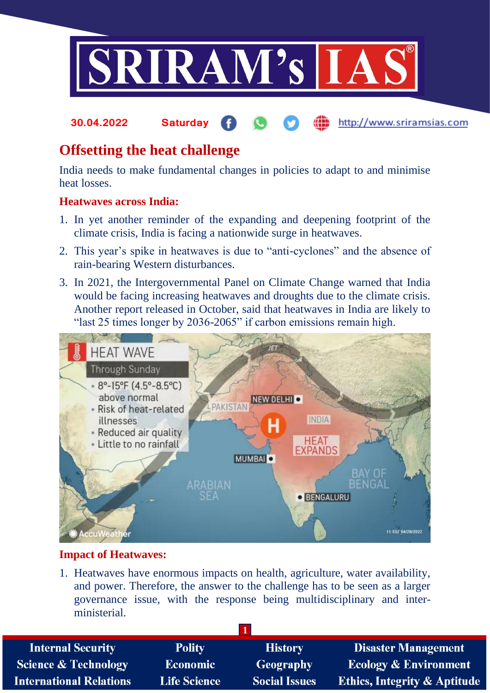

#### http://www.sriramsias.com **30.04.2022 Saturday**

# **Offsetting the heat challenge**

India needs to make fundamental changes in policies to adapt to and minimise heat losses.

#### **Heatwaves across India:**

- 1. In yet another reminder of the expanding and deepening footprint of the climate crisis, India is facing a nationwide surge in heatwaves.
- 2. This year's spike in heatwaves is due to "anti-cyclones" and the absence of rain-bearing Western disturbances.
- 3. In 2021, the Intergovernmental Panel on Climate Change warned that India would be facing increasing heatwaves and droughts due to the climate crisis. Another report released in October, said that heatwaves in India are likely to "last 25 times longer by 2036-2065" if carbon emissions remain high.



### **Impact of Heatwaves:**

1. Heatwaves have enormous impacts on health, agriculture, water availability, and power. Therefore, the answer to the challenge has to be seen as a larger governance issue, with the response being multidisciplinary and interministerial.

| <b>Polity</b>       | <b>History</b>       | <b>Disaster Management</b>              |
|---------------------|----------------------|-----------------------------------------|
| <b>Economic</b>     | Geography            | <b>Ecology &amp; Environment</b>        |
| <b>Life Science</b> | <b>Social Issues</b> | <b>Ethics, Integrity &amp; Aptitude</b> |
|                     |                      |                                         |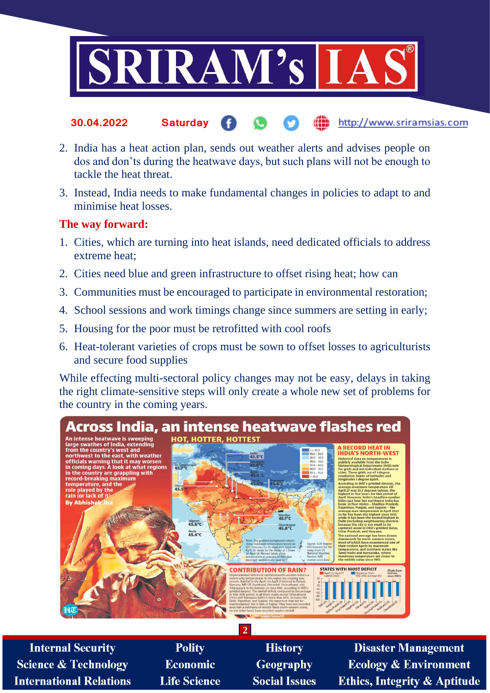

- http://www.sriramsias.com **30.04.2022 Saturday**
- 2. India has a heat action plan, sends out weather alerts and advises people on dos and don'ts during the heatwave days, but such plans will not be enough to tackle the heat threat.
- 3. Instead, India needs to make fundamental changes in policies to adapt to and minimise heat losses.

#### **The way forward:**

- 1. Cities, which are turning into heat islands, need dedicated officials to address extreme heat;
- 2. Cities need blue and green infrastructure to offset rising heat; how can
- 3. Communities must be encouraged to participate in environmental restoration;
- 4. School sessions and work timings change since summers are setting in early;
- 5. Housing for the poor must be retrofitted with cool roofs
- 6. Heat-tolerant varieties of crops must be sown to offset losses to agriculturists and secure food supplies

While effecting multi-sectoral policy changes may not be easy, delays in taking the right climate-sensitive steps will only create a whole new set of problems for the country in the coming years.



**Internal Security Science & Technology International Relations** 

Polity **Economic Life Science** 

**History** Geography **Social Issues** 

**Disaster Management Ecology & Environment Ethics, Integrity & Aptitude**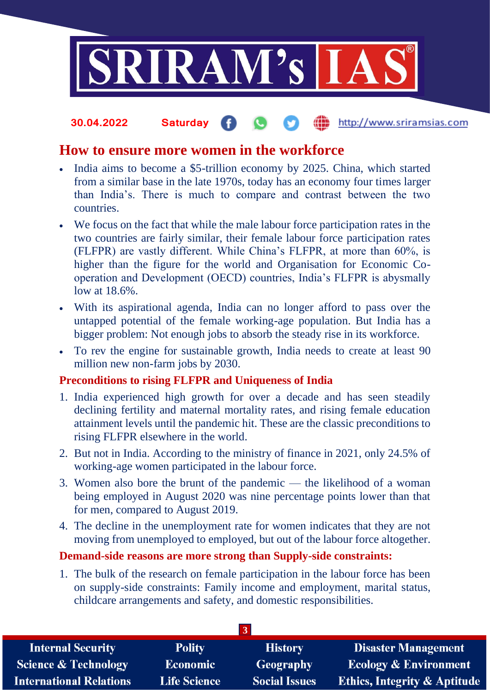

#### http://www.sriramsias.com **30.04.2022 Saturday**

## **How to ensure more women in the workforce**

- India aims to become a \$5-trillion economy by 2025. China, which started from a similar base in the late 1970s, today has an economy four times larger than India's. There is much to compare and contrast between the two countries.
- We focus on the fact that while the male labour force participation rates in the two countries are fairly similar, their female labour force participation rates (FLFPR) are vastly different. While China's FLFPR, at more than 60%, is higher than the figure for the world and Organisation for Economic Cooperation and Development (OECD) countries, India's FLFPR is abysmally low at 18.6%.
- With its aspirational agenda, India can no longer afford to pass over the untapped potential of the female working-age population. But India has a bigger problem: Not enough jobs to absorb the steady rise in its workforce.
- To rev the engine for sustainable growth, India needs to create at least 90 million new non-farm jobs by 2030.

### **Preconditions to rising FLFPR and Uniqueness of India**

- 1. India experienced high growth for over a decade and has seen steadily declining fertility and maternal mortality rates, and rising female education attainment levels until the pandemic hit. These are the classic preconditions to rising FLFPR elsewhere in the world.
- 2. But not in India. According to the ministry of finance in 2021, only 24.5% of working-age women participated in the labour force.
- 3. Women also bore the brunt of the pandemic the likelihood of a woman being employed in August 2020 was nine percentage points lower than that for men, compared to August 2019.
- 4. The decline in the unemployment rate for women indicates that they are not moving from unemployed to employed, but out of the labour force altogether.

### **Demand-side reasons are more strong than Supply-side constraints:**

1. The bulk of the research on female participation in the labour force has been on supply-side constraints: Family income and employment, marital status, childcare arrangements and safety, and domestic responsibilities.

| <b>Internal Security</b>        | <b>Polity</b>       | <b>History</b>       | <b>Disaster Management</b>              |  |  |
|---------------------------------|---------------------|----------------------|-----------------------------------------|--|--|
| <b>Science &amp; Technology</b> | <b>Economic</b>     | Geography            | <b>Ecology &amp; Environment</b>        |  |  |
| <b>International Relations</b>  | <b>Life Science</b> | <b>Social Issues</b> | <b>Ethics, Integrity &amp; Aptitude</b> |  |  |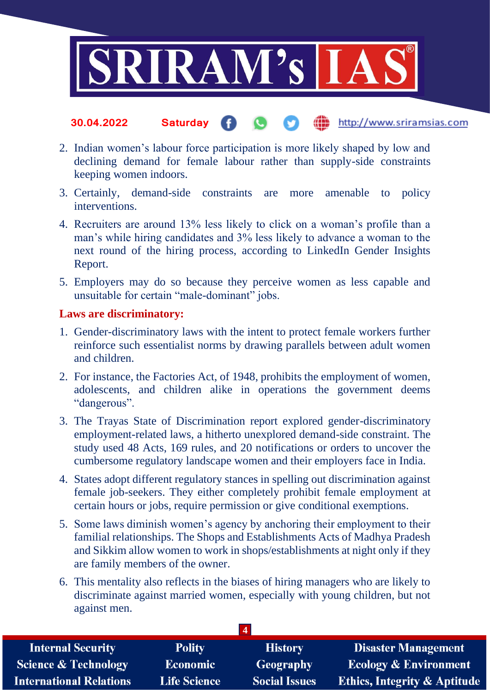

#### http://www.sriramsias.com **30.04.2022 Saturday**

- 2. Indian women's labour force participation is more likely shaped by low and declining demand for female labour rather than supply-side constraints keeping women indoors.
- 3. Certainly, demand-side constraints are more amenable to policy interventions.
- 4. Recruiters are around 13% less likely to click on a woman's profile than a man's while hiring candidates and 3% less likely to advance a woman to the next round of the hiring process, according to LinkedIn Gender Insights Report.
- 5. Employers may do so because they perceive women as less capable and unsuitable for certain "male-dominant" jobs.

#### **Laws are discriminatory:**

- 1. Gender-discriminatory laws with the intent to protect female workers further reinforce such essentialist norms by drawing parallels between adult women and children.
- 2. For instance, the Factories Act, of 1948, prohibits the employment of women, adolescents, and children alike in operations the government deems "dangerous".
- 3. The Trayas State of Discrimination report explored gender-discriminatory employment-related laws, a hitherto unexplored demand-side constraint. The study used 48 Acts, 169 rules, and 20 notifications or orders to uncover the cumbersome regulatory landscape women and their employers face in India.
- 4. States adopt different regulatory stances in spelling out discrimination against female job-seekers. They either completely prohibit female employment at certain hours or jobs, require permission or give conditional exemptions.
- 5. Some laws diminish women's agency by anchoring their employment to their familial relationships. The Shops and Establishments Acts of Madhya Pradesh and Sikkim allow women to work in shops/establishments at night only if they are family members of the owner.
- 6. This mentality also reflects in the biases of hiring managers who are likely to discriminate against married women, especially with young children, but not against men.

| <b>Internal Security</b>        | <b>Polity</b>       | <b>History</b>       | <b>Disaster Management</b>              |  |  |
|---------------------------------|---------------------|----------------------|-----------------------------------------|--|--|
| <b>Science &amp; Technology</b> | <b>Economic</b>     | Geography            | <b>Ecology &amp; Environment</b>        |  |  |
| <b>International Relations</b>  | <b>Life Science</b> | <b>Social Issues</b> | <b>Ethics, Integrity &amp; Aptitude</b> |  |  |